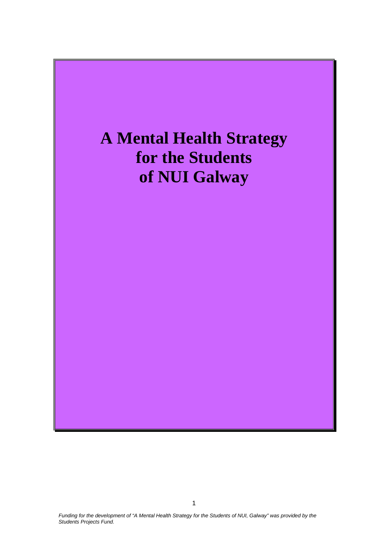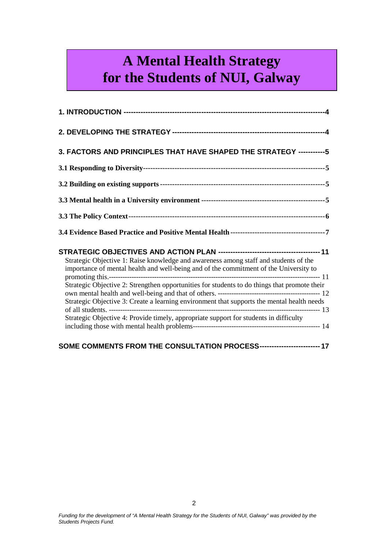# $\boldsymbol{\delta}$  for the Students of NUI, Galway **A Mental Health Strategy**

| 3. FACTORS AND PRINCIPLES THAT HAVE SHAPED THE STRATEGY -----------5                                                                                                                                                                                                                                                                                                                                                                                                 |
|----------------------------------------------------------------------------------------------------------------------------------------------------------------------------------------------------------------------------------------------------------------------------------------------------------------------------------------------------------------------------------------------------------------------------------------------------------------------|
|                                                                                                                                                                                                                                                                                                                                                                                                                                                                      |
|                                                                                                                                                                                                                                                                                                                                                                                                                                                                      |
|                                                                                                                                                                                                                                                                                                                                                                                                                                                                      |
|                                                                                                                                                                                                                                                                                                                                                                                                                                                                      |
|                                                                                                                                                                                                                                                                                                                                                                                                                                                                      |
| Strategic Objective 1: Raise knowledge and awareness among staff and students of the<br>importance of mental health and well-being and of the commitment of the University to<br>Strategic Objective 2: Strengthen opportunities for students to do things that promote their<br>Strategic Objective 3: Create a learning environment that supports the mental health needs<br>Strategic Objective 4: Provide timely, appropriate support for students in difficulty |
| SOME COMMENTS FROM THE CONSULTATION PROCESS------------------------- 17                                                                                                                                                                                                                                                                                                                                                                                              |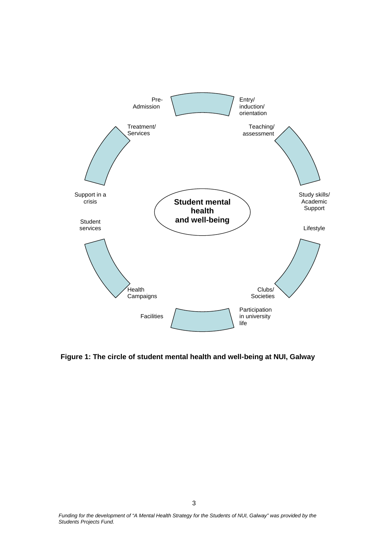

**Figure 1: The circle of student mental health and well-being at NUI, Galway**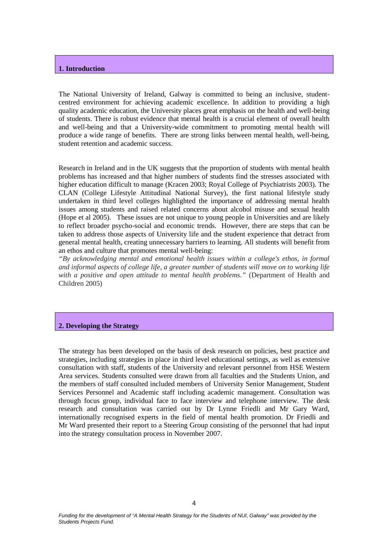#### <span id="page-3-0"></span>**1. Introduction**

The National University of Ireland, Galway is committed to being an inclusive, studentcentred environment for achieving academic excellence. In addition to providing a high quality academic education, the University places great emphasis on the health and well-being of students. There is robust evidence that mental health is a crucial element of overall health and well-being and that a University-wide commitment to promoting mental health will produce a wide range of benefits. There are strong links between mental health, well-being, student retention and academic success.

Research in Ireland and in the UK suggests that the proportion of students with mental health problems has increased and that higher numbers of students find the stresses associated with higher education difficult to manage (Kracen 2003; Royal College of Psychiatrists 2003). The CLAN (College Lifestyle Attitudinal National Survey), the first national lifestyle study undertaken in third level colleges highlighted the importance of addressing mental health issues among students and raised related concerns about alcohol misuse and sexual health (Hope et al 2005). These issues are not unique to young people in Universities and are likely to reflect broader psycho-social and economic trends. However, there are steps that can be taken to address those aspects of University life and the student experience that detract from general mental health, creating unnecessary barriers to learning. All students will benefit from an ethos and culture that promotes mental well-being:

*"By acknowledging mental and emotional health issues within a college's ethos, in formal and informal aspects of college life, a greater number of students will move on to working life with a positive and open attitude to mental health problems."* (Department of Health and Children 2005)

#### <span id="page-3-1"></span>**2. Developing the Strategy**

The strategy has been developed on the basis of desk research on policies, best practice and strategies, including strategies in place in third level educational settings, as well as extensive consultation with staff, students of the University and relevant personnel from HSE Western Area services. Students consulted were drawn from all faculties and the Students Union, and the members of staff consulted included members of University Senior Management, Student Services Personnel and Academic staff including academic management. Consultation was through focus group, individual face to face interview and telephone interview. The desk research and consultation was carried out by Dr Lynne Friedli and Mr Gary Ward, internationally recognised experts in the field of mental health promotion. Dr Friedli and Mr Ward presented their report to a Steering Group consisting of the personnel that had input into the strategy consultation process in November 2007.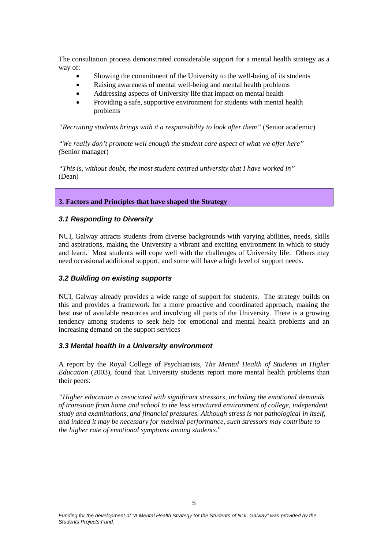The consultation process demonstrated considerable support for a mental health strategy as a way of:

- Showing the commitment of the University to the well-being of its students
- Raising awareness of mental well-being and mental health problems
- Addressing aspects of University life that impact on mental health
- Providing a safe, supportive environment for students with mental health problems

*"Recruiting students brings with it a responsibility to look after them"* (Senior academic)

*"We really don't promote well enough the student care aspect of what we offer here" (*Senior manager)

*"This is, without doubt, the most student centred university that I have worked in"* (Dean)

#### <span id="page-4-0"></span>**3. Factors and Principles that have shaped the Strategy**

#### <span id="page-4-1"></span>*3.1 Responding to Diversity*

NUI, Galway attracts students from diverse backgrounds with varying abilities, needs, skills and aspirations, making the University a vibrant and exciting environment in which to study and learn. Most students will cope well with the challenges of University life. Others may need occasional additional support, and some will have a high level of support needs.

#### <span id="page-4-2"></span>*3.2 Building on existing supports*

NUI, Galway already provides a wide range of support for students. The strategy builds on this and provides a framework for a more proactive and coordinated approach, making the best use of available resources and involving all parts of the University. There is a growing tendency among students to seek help for emotional and mental health problems and an increasing demand on the support services

#### <span id="page-4-3"></span>*3.3 Mental health in a University environment*

A report by the Royal College of Psychiatrists, *The Mental Health of Students in Higher Education* (2003), found that University students report more mental health problems than their peers:

*"Higher education is associated with significant stressors, including the emotional demands of transition from home and school to the less structured environment of college, independent study and examinations, and financial pressures. Although stress is not pathological in itself, and indeed it may be necessary for maximal performance, such stressors may contribute to the higher rate of emotional symptoms among students*."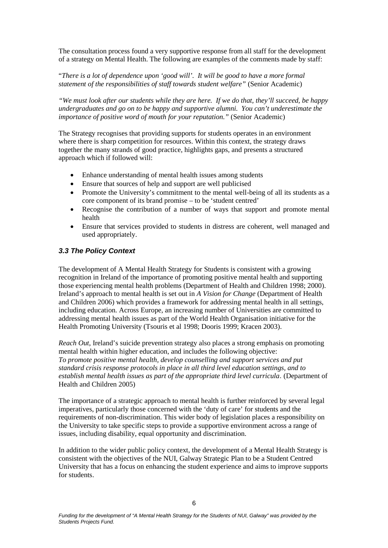The consultation process found a very supportive response from all staff for the development of a strategy on Mental Health. The following are examples of the comments made by staff:

#### "*There is a lot of dependence upon 'good will'. It will be good to have a more formal statement of the responsibilities of staff towards student welfare"* (Senior Academic)

*"We must look after our students while they are here. If we do that, they'll succeed, be happy undergraduates and go on to be happy and supportive alumni. You can't underestimate the importance of positive word of mouth for your reputation."* (Senior Academic)

The Strategy recognises that providing supports for students operates in an environment where there is sharp competition for resources. Within this context, the strategy draws together the many strands of good practice, highlights gaps, and presents a structured approach which if followed will:

- Enhance understanding of mental health issues among students
- Ensure that sources of help and support are well publicised
- Promote the University's commitment to the mental well-being of all its students as a core component of its brand promise – to be 'student centred'
- Recognise the contribution of a number of ways that support and promote mental health
- Ensure that services provided to students in distress are coherent, well managed and used appropriately.

### <span id="page-5-0"></span>*3.3 The Policy Context*

The development of A Mental Health Strategy for Students is consistent with a growing recognition in Ireland of the importance of promoting positive mental health and supporting those experiencing mental health problems (Department of Health and Children 1998; 2000). Ireland's approach to mental health is set out in *A Vision for Change* (Department of Health and Children 2006) which provides a framework for addressing mental health in all settings, including education. Across Europe, an increasing number of Universities are committed to addressing mental health issues as part of the World Health Organisation initiative for the Health Promoting University (Tsouris et al 1998; Dooris 1999; Kracen 2003).

*Reach Out*, Ireland's suicide prevention strategy also places a strong emphasis on promoting mental health within higher education, and includes the following objective: *To promote positive mental health, develop counselling and support services and put standard crisis response protocols in place in all third level education settings, and to establish mental health issues as part of the appropriate third level curricula*. (Department of Health and Children 2005)

The importance of a strategic approach to mental health is further reinforced by several legal imperatives, particularly those concerned with the 'duty of care' for students and the requirements of non-discrimination. This wider body of legislation places a responsibility on the University to take specific steps to provide a supportive environment across a range of issues, including disability, equal opportunity and discrimination.

In addition to the wider public policy context, the development of a Mental Health Strategy is consistent with the objectives of the NUI, Galway Strategic Plan to be a Student Centred University that has a focus on enhancing the student experience and aims to improve supports for students.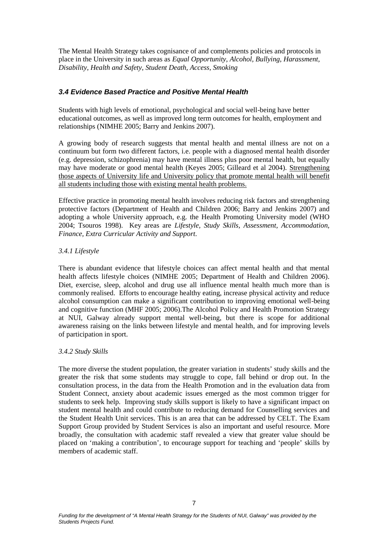The Mental Health Strategy takes cognisance of and complements policies and protocols in place in the University in such areas as *Equal Opportunity, Alcohol, Bullying, Harassment, Disability, Health and Safety, Student Death, Access, Smoking*

#### <span id="page-6-0"></span>*3.4 Evidence Based Practice and Positive Mental Health*

Students with high levels of emotional, psychological and social well-being have better educational outcomes, as well as improved long term outcomes for health, employment and relationships (NIMHE 2005; Barry and Jenkins 2007).

A growing body of research suggests that mental health and mental illness are not on a continuum but form two different factors, i.e. people with a diagnosed mental health disorder (e.g. depression, schizophrenia) may have mental illness plus poor mental health, but equally may have moderate or good mental health (Keyes 2005; Gilleard et al 2004). Strengthening those aspects of University life and University policy that promote mental health will benefit all students including those with existing mental health problems.

Effective practice in promoting mental health involves reducing risk factors and strengthening protective factors (Department of Health and Children 2006; Barry and Jenkins 2007) and adopting a whole University approach, e.g. the Health Promoting University model (WHO 2004; Tsouros 1998). Key areas are *Lifestyle, Study Skills, Assessment, Accommodation, Finance, Extra Curricular Activity and Support.*

#### *3.4.1 Lifestyle*

There is abundant evidence that lifestyle choices can affect mental health and that mental health affects lifestyle choices (NIMHE 2005; Department of Health and Children 2006). Diet, exercise, sleep, alcohol and drug use all influence mental health much more than is commonly realised. Efforts to encourage healthy eating, increase physical activity and reduce alcohol consumption can make a significant contribution to improving emotional well-being and cognitive function (MHF 2005; 2006).The Alcohol Policy and Health Promotion Strategy at NUI, Galway already support mental well-being, but there is scope for additional awareness raising on the links between lifestyle and mental health, and for improving levels of participation in sport.

#### *3.4.2 Study Skills*

The more diverse the student population, the greater variation in students' study skills and the greater the risk that some students may struggle to cope, fall behind or drop out. In the consultation process, in the data from the Health Promotion and in the evaluation data from Student Connect, anxiety about academic issues emerged as the most common trigger for students to seek help. Improving study skills support is likely to have a significant impact on student mental health and could contribute to reducing demand for Counselling services and the Student Health Unit services. This is an area that can be addressed by CELT. The Exam Support Group provided by Student Services is also an important and useful resource. More broadly, the consultation with academic staff revealed a view that greater value should be placed on 'making a contribution', to encourage support for teaching and 'people' skills by members of academic staff.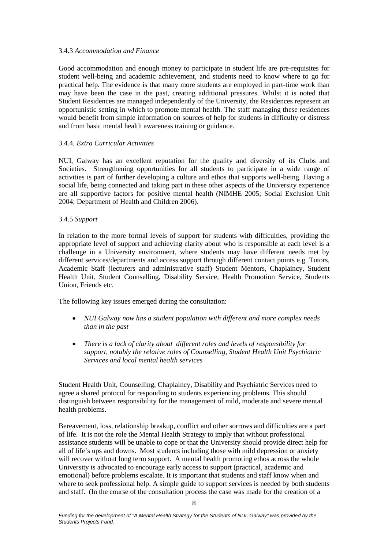#### 3.4.3 *Accommodation and Finance*

Good accommodation and enough money to participate in student life are pre-requisites for student well-being and academic achievement, and students need to know where to go for practical help. The evidence is that many more students are employed in part-time work than may have been the case in the past, creating additional pressures. Whilst it is noted that Student Residences are managed independently of the University, the Residences represent an opportunistic setting in which to promote mental health. The staff managing these residences would benefit from simple information on sources of help for students in difficulty or distress and from basic mental health awareness training or guidance.

#### 3.4.4*. Extra Curricular Activities*

NUI, Galway has an excellent reputation for the quality and diversity of its Clubs and Societies. Strengthening opportunities for all students to participate in a wide range of activities is part of further developing a culture and ethos that supports well-being. Having a social life, being connected and taking part in these other aspects of the University experience are all supportive factors for positive mental health (NIMHE 2005; Social Exclusion Unit 2004; Department of Health and Children 2006).

#### 3.4.5 *Support*

In relation to the more formal levels of support for students with difficulties, providing the appropriate level of support and achieving clarity about who is responsible at each level is a challenge in a University environment, where students may have different needs met by different services/departments and access support through different contact points e.g. Tutors, Academic Staff (lecturers and administrative staff) Student Mentors, Chaplaincy, Student Health Unit, Student Counselling, Disability Service, Health Promotion Service, Students Union, Friends etc.

The following key issues emerged during the consultation:

- *NUI Galway now has a student population with different and more complex needs than in the past*
- *There is a lack of clarity about different roles and levels of responsibility for support, notably the relative roles of Counselling, Student Health Unit Psychiatric Services and local mental health services*

Student Health Unit, Counselling, Chaplaincy, Disability and Psychiatric Services need to agree a shared protocol for responding to students experiencing problems. This should distinguish between responsibility for the management of mild, moderate and severe mental health problems.

Bereavement, loss, relationship breakup, conflict and other sorrows and difficulties are a part of life. It is not the role the Mental Health Strategy to imply that without professional assistance students will be unable to cope or that the University should provide direct help for all of life's ups and downs. Most students including those with mild depression or anxiety will recover without long term support. A mental health promoting ethos across the whole University is advocated to encourage early access to support (practical, academic and emotional) before problems escalate. It is important that students and staff know when and where to seek professional help. A simple guide to support services is needed by both students and staff. (In the course of the consultation process the case was made for the creation of a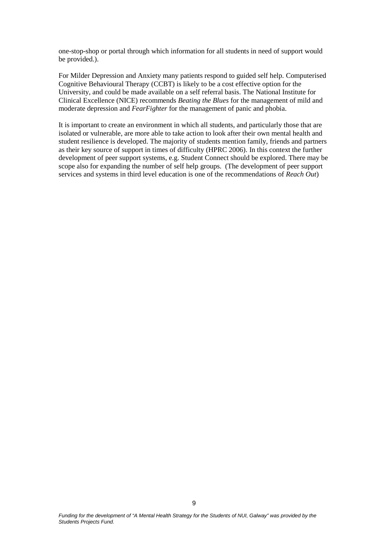one-stop-shop or portal through which information for all students in need of support would be provided.).

For Milder Depression and Anxiety many patients respond to guided self help. Computerised Cognitive Behavioural Therapy (CCBT) is likely to be a cost effective option for the University, and could be made available on a self referral basis. The National Institute for Clinical Excellence (NICE) recommends *Beating the Blues* for the management of mild and moderate depression and *FearFighter* for the management of panic and phobia.

It is important to create an environment in which all students, and particularly those that are isolated or vulnerable, are more able to take action to look after their own mental health and student resilience is developed. The majority of students mention family, friends and partners as their key source of support in times of difficulty (HPRC 2006). In this context the further development of peer support systems, e.g. Student Connect should be explored. There may be scope also for expanding the number of self help groups. (The development of peer support services and systems in third level education is one of the recommendations of *Reach Out*)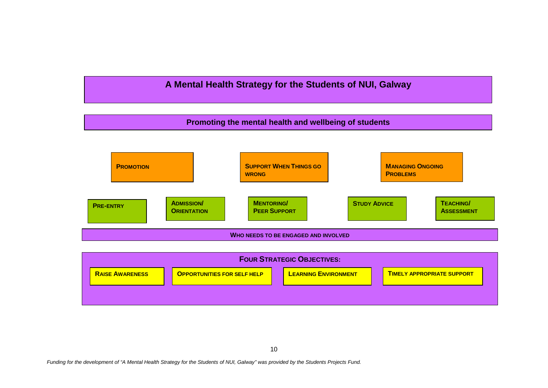# **A Mental Health Strategy for the Students of NUI, Galway**

# **Promoting the mental health and wellbeing of students**



| <b>FOUR STRATEGIC OBJECTIVES:</b> |                        |                                    |  |                             |                                   |
|-----------------------------------|------------------------|------------------------------------|--|-----------------------------|-----------------------------------|
|                                   | <b>RAISE AWARENESS</b> | <b>OPPORTUNITIES FOR SELF HELP</b> |  | <b>LEARNING ENVIRONMENT</b> | <b>TIMELY APPROPRIATE SUPPORT</b> |
|                                   |                        |                                    |  |                             |                                   |
|                                   |                        |                                    |  |                             |                                   |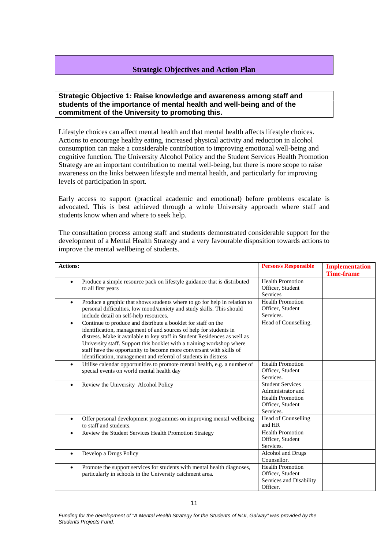#### <span id="page-10-0"></span>**Strategic Objectives and Action Plan**

<span id="page-10-1"></span>**Strategic Objective 1: Raise knowledge and awareness among staff and students of the importance of mental health and well-being and of the commitment of the University to promoting this.**

Lifestyle choices can affect mental health and that mental health affects lifestyle choices. Actions to encourage healthy eating, increased physical activity and reduction in alcohol consumption can make a considerable contribution to improving emotional well-being and cognitive function. The University Alcohol Policy and the Student Services Health Promotion Strategy are an important contribution to mental well-being, but there is more scope to raise awareness on the links between lifestyle and mental health, and particularly for improving levels of participation in sport.

Early access to support (practical academic and emotional) before problems escalate is advocated. This is best achieved through a whole University approach where staff and students know when and where to seek help.

The consultation process among staff and students demonstrated considerable support for the development of a Mental Health Strategy and a very favourable disposition towards actions to improve the mental wellbeing of students.

| <b>Actions:</b> |                                                                                                                                                                                                                                                                                                                                                                                                                                    | <b>Person/s Responsible</b>                                                                              | <b>Implementation</b><br><b>Time-frame</b> |
|-----------------|------------------------------------------------------------------------------------------------------------------------------------------------------------------------------------------------------------------------------------------------------------------------------------------------------------------------------------------------------------------------------------------------------------------------------------|----------------------------------------------------------------------------------------------------------|--------------------------------------------|
| $\bullet$       | Produce a simple resource pack on lifestyle guidance that is distributed<br>to all first years                                                                                                                                                                                                                                                                                                                                     | <b>Health Promotion</b><br>Officer, Student<br>Services                                                  |                                            |
| $\bullet$       | Produce a graphic that shows students where to go for help in relation to<br>personal difficulties, low mood/anxiety and study skills. This should<br>include detail on self-help resources.                                                                                                                                                                                                                                       | <b>Health Promotion</b><br>Officer, Student<br>Services.                                                 |                                            |
| $\bullet$       | Continue to produce and distribute a booklet for staff on the<br>identification, management of and sources of help for students in<br>distress. Make it available to key staff in Student Residences as well as<br>University staff. Support this booklet with a training workshop where<br>staff have the opportunity to become more conversant with skills of<br>identification, management and referral of students in distress | Head of Counselling.                                                                                     |                                            |
| $\bullet$       | Utilise calendar opportunities to promote mental health, e.g. a number of<br>special events on world mental health day                                                                                                                                                                                                                                                                                                             | <b>Health Promotion</b><br>Officer, Student<br>Services.                                                 |                                            |
| $\bullet$       | Review the University Alcohol Policy                                                                                                                                                                                                                                                                                                                                                                                               | <b>Student Services</b><br>Administrator and<br><b>Health Promotion</b><br>Officer, Student<br>Services. |                                            |
| $\bullet$       | Offer personal development programmes on improving mental wellbeing<br>to staff and students.                                                                                                                                                                                                                                                                                                                                      | Head of Counselling<br>and HR                                                                            |                                            |
| $\bullet$       | Review the Student Services Health Promotion Strategy                                                                                                                                                                                                                                                                                                                                                                              | <b>Health Promotion</b><br>Officer, Student<br>Services.                                                 |                                            |
| $\bullet$       | Develop a Drugs Policy                                                                                                                                                                                                                                                                                                                                                                                                             | Alcohol and Drugs<br>Counsellor.                                                                         |                                            |
| $\bullet$       | Promote the support services for students with mental health diagnoses,<br>particularly in schools in the University catchment area.                                                                                                                                                                                                                                                                                               | <b>Health Promotion</b><br>Officer, Student<br>Services and Disability<br>Officer.                       |                                            |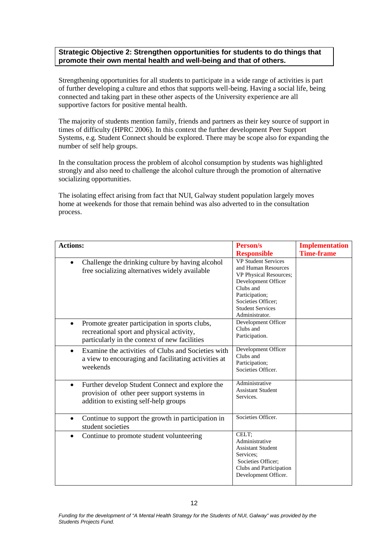#### <span id="page-11-0"></span>**Strategic Objective 2: Strengthen opportunities for students to do things that promote their own mental health and well-being and that of others.**

Strengthening opportunities for all students to participate in a wide range of activities is part of further developing a culture and ethos that supports well-being. Having a social life, being connected and taking part in these other aspects of the University experience are all supportive factors for positive mental health.

The majority of students mention family, friends and partners as their key source of support in times of difficulty (HPRC 2006). In this context the further development Peer Support Systems, e.g. Student Connect should be explored. There may be scope also for expanding the number of self help groups.

In the consultation process the problem of alcohol consumption by students was highlighted strongly and also need to challenge the alcohol culture through the promotion of alternative socializing opportunities.

The isolating effect arising from fact that NUI, Galway student population largely moves home at weekends for those that remain behind was also adverted to in the consultation process.

| Actions:                                                                                                                                                  | Person/s                                                                                                                                                                                             | <b>Implementation</b> |
|-----------------------------------------------------------------------------------------------------------------------------------------------------------|------------------------------------------------------------------------------------------------------------------------------------------------------------------------------------------------------|-----------------------|
|                                                                                                                                                           | <b>Responsible</b>                                                                                                                                                                                   | <b>Time-frame</b>     |
| Challenge the drinking culture by having alcohol<br>$\bullet$<br>free socializing alternatives widely available                                           | <b>VP Student Services</b><br>and Human Resources<br>VP Physical Resources;<br>Development Officer<br>Clubs and<br>Participation;<br>Societies Officer;<br><b>Student Services</b><br>Administrator. |                       |
| Promote greater participation in sports clubs,<br>$\bullet$<br>recreational sport and physical activity,<br>particularly in the context of new facilities | Development Officer<br>Clubs and<br>Participation.                                                                                                                                                   |                       |
| Examine the activities of Clubs and Societies with<br>$\bullet$<br>a view to encouraging and facilitating activities at<br>weekends                       | Development Officer<br>Clubs and<br>Participation;<br>Societies Officer.                                                                                                                             |                       |
| Further develop Student Connect and explore the<br>$\bullet$<br>provision of other peer support systems in<br>addition to existing self-help groups       | Administrative<br><b>Assistant Student</b><br>Services.                                                                                                                                              |                       |
| Continue to support the growth in participation in<br>$\bullet$<br>student societies                                                                      | Societies Officer.                                                                                                                                                                                   |                       |
| Continue to promote student volunteering<br>$\bullet$                                                                                                     | CELT;<br>Administrative<br><b>Assistant Student</b><br>Services:<br>Societies Officer:<br>Clubs and Participation<br>Development Officer.                                                            |                       |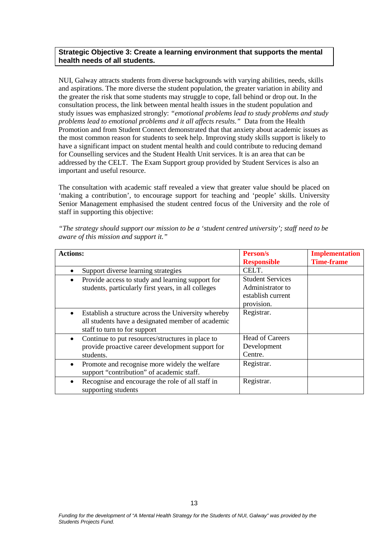#### <span id="page-12-0"></span>**Strategic Objective 3: Create a learning environment that supports the mental health needs of all students.**

NUI, Galway attracts students from diverse backgrounds with varying abilities, needs, skills and aspirations. The more diverse the student population, the greater variation in ability and the greater the risk that some students may struggle to cope, fall behind or drop out. In the consultation process, the link between mental health issues in the student population and study issues was emphasized strongly: *"emotional problems lead to study problems and study problems lead to emotional problems and it all affects results."* Data from the Health Promotion and from Student Connect demonstrated that that anxiety about academic issues as the most common reason for students to seek help. Improving study skills support is likely to have a significant impact on student mental health and could contribute to reducing demand for Counselling services and the Student Health Unit services. It is an area that can be addressed by the CELT. The Exam Support group provided by Student Services is also an important and useful resource.

The consultation with academic staff revealed a view that greater value should be placed on 'making a contribution', to encourage support for teaching and 'people' skills. University Senior Management emphasised the student centred focus of the University and the role of staff in supporting this objective:

| <b>Actions:</b>                                                                                                                                       | Person/s<br><b>Responsible</b>                                                 | <b>Implementation</b><br><b>Time-frame</b> |
|-------------------------------------------------------------------------------------------------------------------------------------------------------|--------------------------------------------------------------------------------|--------------------------------------------|
| Support diverse learning strategies                                                                                                                   | CELT.                                                                          |                                            |
| Provide access to study and learning support for<br>$\bullet$<br>students, particularly first years, in all colleges                                  | <b>Student Services</b><br>Administrator to<br>establish current<br>provision. |                                            |
| Establish a structure across the University whereby<br>$\bullet$<br>all students have a designated member of academic<br>staff to turn to for support | Registrar.                                                                     |                                            |
| Continue to put resources/structures in place to<br>$\bullet$<br>provide proactive career development support for<br>students.                        | <b>Head of Careers</b><br>Development<br>Centre.                               |                                            |
| Promote and recognise more widely the welfare<br>$\bullet$<br>support "contribution" of academic staff.                                               | Registrar.                                                                     |                                            |
| Recognise and encourage the role of all staff in<br>$\bullet$<br>supporting students                                                                  | Registrar.                                                                     |                                            |

*"The strategy should support our mission to be a 'student centred university'; staff need to be aware of this mission and support it."*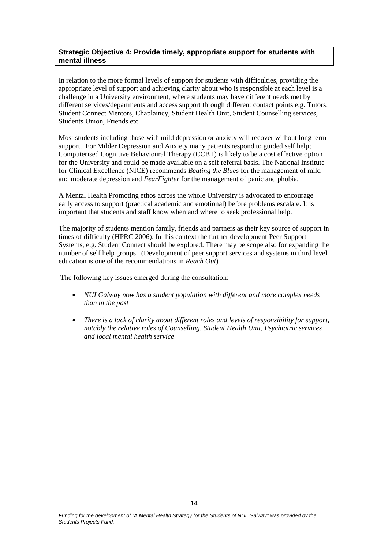#### <span id="page-13-0"></span>**Strategic Objective 4: Provide timely, appropriate support for students with mental illness**

In relation to the more formal levels of support for students with difficulties, providing the appropriate level of support and achieving clarity about who is responsible at each level is a challenge in a University environment, where students may have different needs met by different services/departments and access support through different contact points e.g. Tutors, Student Connect Mentors, Chaplaincy, Student Health Unit, Student Counselling services, Students Union, Friends etc.

Most students including those with mild depression or anxiety will recover without long term support. For Milder Depression and Anxiety many patients respond to guided self help; Computerised Cognitive Behavioural Therapy (CCBT) is likely to be a cost effective option for the University and could be made available on a self referral basis. The National Institute for Clinical Excellence (NICE) recommends *Beating the Blues* for the management of mild and moderate depression and *FearFighter* for the management of panic and phobia.

A Mental Health Promoting ethos across the whole University is advocated to encourage early access to support (practical academic and emotional) before problems escalate. It is important that students and staff know when and where to seek professional help.

The majority of students mention family, friends and partners as their key source of support in times of difficulty (HPRC 2006). In this context the further development Peer Support Systems, e.g. Student Connect should be explored. There may be scope also for expanding the number of self help groups. (Development of peer support services and systems in third level education is one of the recommendations in *Reach Out*)

The following key issues emerged during the consultation:

- *NUI Galway now has a student population with different and more complex needs than in the past*
- *There is a lack of clarity about different roles and levels of responsibility for support, notably the relative roles of Counselling, Student Health Unit, Psychiatric services and local mental health service*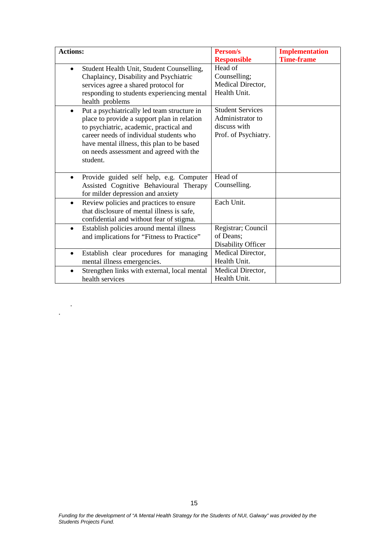| <b>Actions:</b>                                                                                                                                                                                                                                                                                    | Person/s                                                                            | <b>Implementation</b><br><b>Time-frame</b> |
|----------------------------------------------------------------------------------------------------------------------------------------------------------------------------------------------------------------------------------------------------------------------------------------------------|-------------------------------------------------------------------------------------|--------------------------------------------|
| Student Health Unit, Student Counselling,<br>$\bullet$<br>Chaplaincy, Disability and Psychiatric<br>services agree a shared protocol for<br>responding to students experiencing mental<br>health problems                                                                                          | <b>Responsible</b><br>Head of<br>Counselling;<br>Medical Director,<br>Health Unit.  |                                            |
| Put a psychiatrically led team structure in<br>$\bullet$<br>place to provide a support plan in relation<br>to psychiatric, academic, practical and<br>career needs of individual students who<br>have mental illness, this plan to be based<br>on needs assessment and agreed with the<br>student. | <b>Student Services</b><br>Administrator to<br>discuss with<br>Prof. of Psychiatry. |                                            |
| Provide guided self help, e.g. Computer<br>$\bullet$<br>Assisted Cognitive Behavioural Therapy<br>for milder depression and anxiety                                                                                                                                                                | Head of<br>Counselling.                                                             |                                            |
| Review policies and practices to ensure<br>$\bullet$<br>that disclosure of mental illness is safe,<br>confidential and without fear of stigma.                                                                                                                                                     | Each Unit.                                                                          |                                            |
| Establish policies around mental illness<br>$\bullet$<br>and implications for "Fitness to Practice"                                                                                                                                                                                                | Registrar; Council<br>of Deans;<br>Disability Officer                               |                                            |
| Establish clear procedures for managing<br>$\bullet$<br>mental illness emergencies.                                                                                                                                                                                                                | Medical Director,<br>Health Unit.                                                   |                                            |
| Strengthen links with external, local mental<br>$\bullet$<br>health services                                                                                                                                                                                                                       | Medical Director,<br>Health Unit.                                                   |                                            |

.

.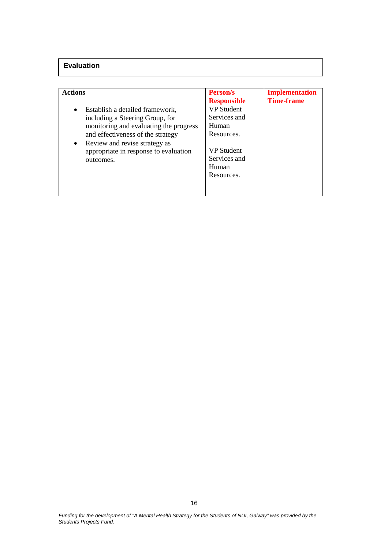## **Evaluation**

| <b>Actions</b>                                                                                                                                                                                                                                          | <b>Person/s</b><br><b>Responsible</b>                                                                                | <b>Implementation</b><br><b>Time-frame</b> |
|---------------------------------------------------------------------------------------------------------------------------------------------------------------------------------------------------------------------------------------------------------|----------------------------------------------------------------------------------------------------------------------|--------------------------------------------|
| Establish a detailed framework,<br>$\bullet$<br>including a Steering Group, for<br>monitoring and evaluating the progress<br>and effectiveness of the strategy<br>• Review and revise strategy as<br>appropriate in response to evaluation<br>outcomes. | <b>VP</b> Student<br>Services and<br>Human<br>Resources.<br><b>VP</b> Student<br>Services and<br>Human<br>Resources. |                                            |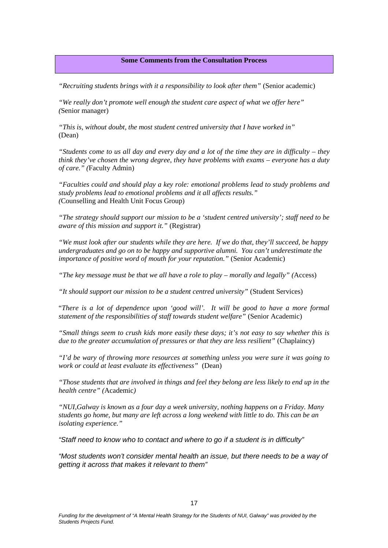#### <span id="page-16-0"></span>**Some Comments from the Consultation Process**

*"Recruiting students brings with it a responsibility to look after them"* (Senior academic)

*"We really don't promote well enough the student care aspect of what we offer here" (*Senior manager)

*"This is, without doubt, the most student centred university that I have worked in"* (Dean)

*"Students come to us all day and every day and a lot of the time they are in difficulty – they think they've chosen the wrong degree, they have problems with exams – everyone has a duty of care." (*Faculty Admin)

*"Faculties could and should play a key role: emotional problems lead to study problems and study problems lead to emotional problems and it all affects results." (*Counselling and Health Unit Focus Group)

*"The strategy should support our mission to be a 'student centred university'; staff need to be aware of this mission and support it."* (Registrar)

*"We must look after our students while they are here. If we do that, they'll succeed, be happy undergraduates and go on to be happy and supportive alumni. You can't underestimate the importance of positive word of mouth for your reputation."* (Senior Academic)

*"The key message must be that we all have a role to play – morally and legally" (*Access)

*"It should support our mission to be a student centred university"* (Student Services)

"*There is a lot of dependence upon 'good will'. It will be good to have a more formal statement of the responsibilities of staff towards student welfare"* (Senior Academic)

*"Small things seem to crush kids more easily these days; it's not easy to say whether this is due to the greater accumulation of pressures or that they are less resilient"* (Chaplaincy)

*"I'd be wary of throwing more resources at something unless you were sure it was going to work or could at least evaluate its effectiveness"* (Dean)

*"Those students that are involved in things and feel they belong are less likely to end up in the health centre" (*Academic*)*

*"NUI,Galway is known as a four day a week university, nothing happens on a Friday. Many students go home, but many are left across a long weekend with little to do. This can be an isolating experience."*

*"Staff need to know who to contact and where to go if a student is in difficulty"*

*"Most students won't consider mental health an issue, but there needs to be a way of getting it across that makes it relevant to them"*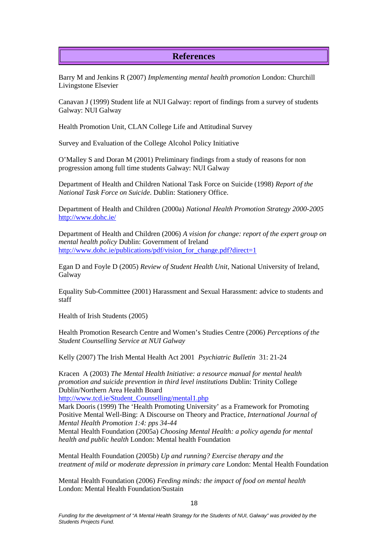# **References**

Barry M and Jenkins R (2007) *Implementing mental health promotion* London: Churchill Livingstone Elsevier

Canavan J (1999) Student life at NUI Galway: report of findings from a survey of students Galway: NUI Galway

Health Promotion Unit, CLAN College Life and Attitudinal Survey

Survey and Evaluation of the College Alcohol Policy Initiative

O'Malley S and Doran M (2001) Preliminary findings from a study of reasons for non progression among full time students Galway: NUI Galway

Department of Health and Children National Task Force on Suicide (1998) *Report of the National Task Force on Suicide*. Dublin: Stationery Office.

Department of Health and Children (2000a) *National Health Promotion Strategy 2000-2005* <http://www.dohc.ie/>

Department of Health and Children (2006) *A vision for change: report of the expert group on mental health policy* Dublin: Government of Ireland [http://www.dohc.ie/publications/pdf/vision\\_for\\_change.pdf?direct=1](http://www.dohc.ie/publications/pdf/vision_for_change.pdf?direct=1)

Egan D and Foyle D (2005) *Review of Student Health Unit*, National University of Ireland, Galway

Equality Sub-Committee (2001) Harassment and Sexual Harassment: advice to students and staff

Health of Irish Students (2005)

Health Promotion Research Centre and Women's Studies Centre (2006) *Perceptions of the Student Counselling Service at NUI Galway*

Kelly (2007) The Irish Mental Health Act 2001 *Psychiatric Bulletin* 31: 21-24

Kracen A (2003) *The Mental Health Initiative: a resource manual for mental health promotion and suicide prevention in third level institutions* Dublin: Trinity College Dublin/Northern Area Health Board

[http://www.tcd.ie/Student\\_Counselling/mental1.php](http://www.tcd.ie/Student_Counselling/mental1.php)

Mark Dooris (1999) The 'Health Promoting University' as a Framework for Promoting Positive Mental Well-Bing: A Discourse on Theory and Practice*, International Journal of Mental Health Promotion 1:4: pps 34-44*

Mental Health Foundation (2005a) *Choosing Mental Health: a policy agenda for mental health and public health* London: Mental health Foundation

Mental Health Foundation (2005b) *Up and running? Exercise therapy and the treatment of mild or moderate depression in primary care* London: Mental Health Foundation

Mental Health Foundation (2006) *Feeding minds: the impact of food on mental health* London: Mental Health Foundation/Sustain